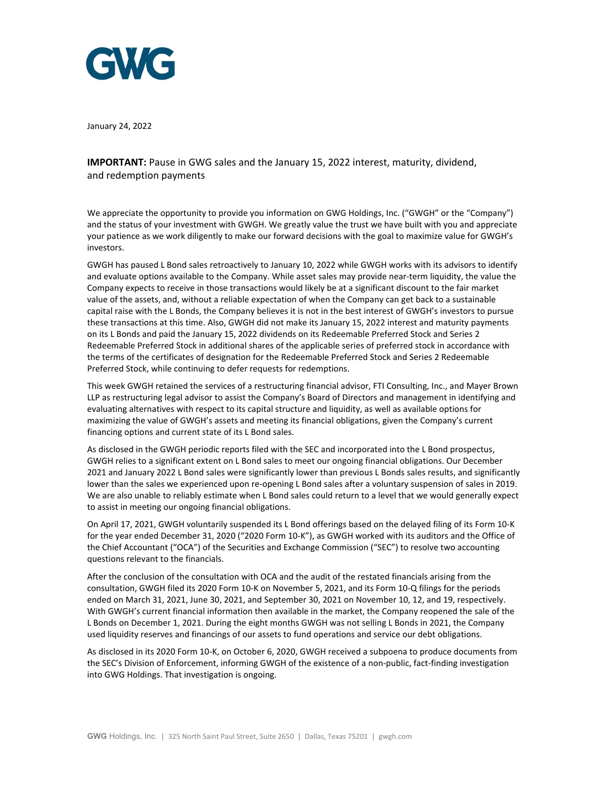

January 24, 2022

**IMPORTANT:** Pause in GWG sales and the January 15, 2022 interest, maturity, dividend, and redemption payments

We appreciate the opportunity to provide you information on GWG Holdings, Inc. ("GWGH" or the "Company") and the status of your investment with GWGH. We greatly value the trust we have built with you and appreciate your patience as we work diligently to make our forward decisions with the goal to maximize value for GWGH's investors.

GWGH has paused L Bond sales retroactively to January 10, 2022 while GWGH works with its advisors to identify and evaluate options available to the Company. While asset sales may provide near-term liquidity, the value the Company expects to receive in those transactions would likely be at a significant discount to the fair market value of the assets, and, without a reliable expectation of when the Company can get back to a sustainable capital raise with the L Bonds, the Company believes it is not in the best interest of GWGH's investors to pursue these transactions at this time. Also, GWGH did not make its January 15, 2022 interest and maturity payments on its L Bonds and paid the January 15, 2022 dividends on its Redeemable Preferred Stock and Series 2 Redeemable Preferred Stock in additional shares of the applicable series of preferred stock in accordance with the terms of the certificates of designation for the Redeemable Preferred Stock and Series 2 Redeemable Preferred Stock, while continuing to defer requests for redemptions.

This week GWGH retained the services of a restructuring financial advisor, FTI Consulting, Inc., and Mayer Brown LLP as restructuring legal advisor to assist the Company's Board of Directors and management in identifying and evaluating alternatives with respect to its capital structure and liquidity, as well as available options for maximizing the value of GWGH's assets and meeting its financial obligations, given the Company's current financing options and current state of its L Bond sales.

As disclosed in the GWGH periodic reports filed with the SEC and incorporated into the L Bond prospectus, GWGH relies to a significant extent on L Bond sales to meet our ongoing financial obligations. Our December 2021 and January 2022 L Bond sales were significantly lower than previous L Bonds sales results, and significantly lower than the sales we experienced upon re-opening L Bond sales after a voluntary suspension of sales in 2019. We are also unable to reliably estimate when L Bond sales could return to a level that we would generally expect to assist in meeting our ongoing financial obligations.

On April 17, 2021, GWGH voluntarily suspended its L Bond offerings based on the delayed filing of its Form 10-K for the year ended December 31, 2020 ("2020 Form 10-K"), as GWGH worked with its auditors and the Office of the Chief Accountant ("OCA") of the Securities and Exchange Commission ("SEC") to resolve two accounting questions relevant to the financials.

After the conclusion of the consultation with OCA and the audit of the restated financials arising from the consultation, GWGH filed its 2020 Form 10-K on November 5, 2021, and its Form 10-Q filings for the periods ended on March 31, 2021, June 30, 2021, and September 30, 2021 on November 10, 12, and 19, respectively. With GWGH's current financial information then available in the market, the Company reopened the sale of the L Bonds on December 1, 2021. During the eight months GWGH was not selling L Bonds in 2021, the Company used liquidity reserves and financings of our assets to fund operations and service our debt obligations.

As disclosed in its 2020 Form 10-K, on October 6, 2020, GWGH received a subpoena to produce documents from the SEC's Division of Enforcement, informing GWGH of the existence of a non-public, fact-finding investigation into GWG Holdings. That investigation is ongoing.